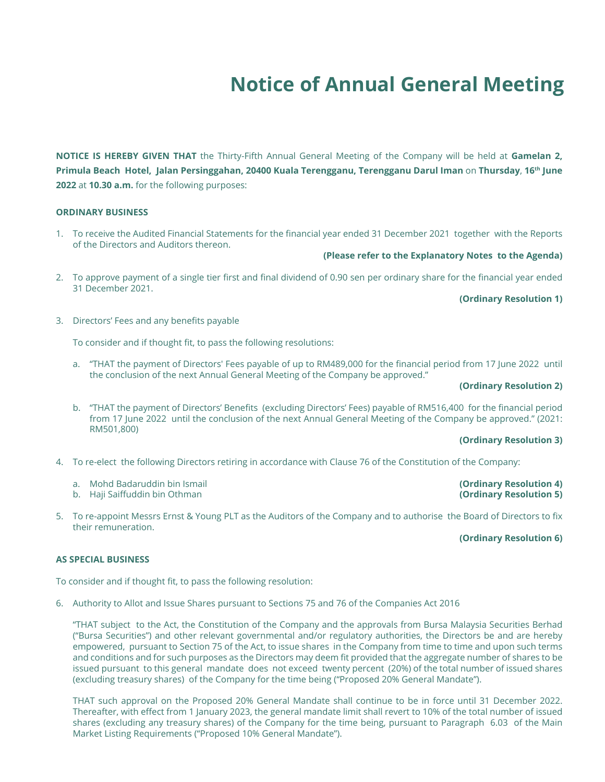# **Notice of Annual General Meeting**

**NOTICE IS HEREBY GIVEN THAT** the Thirty-Fifth Annual General Meeting of the Company will be held at **Gamelan 2, Primula Beach Hotel, Jalan Persinggahan, 20400 Kuala Terengganu, Terengganu Darul Iman** on **Thursday**, **16th June 2022** at **10.30 a.m.** for the following purposes:

#### **ORDINARY BUSINESS**

1. To receive the Audited Financial Statements for the financial year ended 31 December 2021 together with the Reports of the Directors and Auditors thereon.

## **(Please refer to the Explanatory Notes to the Agenda)**

2. To approve payment of a single tier first and final dividend of 0.90 sen per ordinary share for the financial year ended 31 December 2021.

#### **(Ordinary Resolution 1)**

3. Directors' Fees and any benefits payable

To consider and if thought fit, to pass the following resolutions:

a. "THAT the payment of Directors' Fees payable of up to RM489,000 for the financial period from 17 June 2022 until the conclusion of the next Annual General Meeting of the Company be approved."

## **(Ordinary Resolution 2)**

b. "THAT the payment of Directors' Benefits (excluding Directors' Fees) payable of RM516,400 for the financial period from 17 June 2022 until the conclusion of the next Annual General Meeting of the Company be approved." (2021: RM501,800)

#### **(Ordinary Resolution 3)**

- 4. To re-elect the following Directors retiring in accordance with Clause 76 of the Constitution of the Company:
	- a. Mohd Badaruddin bin Ismail **(Ordinary Resolution 4)**
	- **b.** Haji Saiffuddin bin Othman
- 5. To re-appoint Messrs Ernst & Young PLT as the Auditors of the Company and to authorise the Board of Directors to fix their remuneration.

# **(Ordinary Resolution 6)**

### **AS SPECIAL BUSINESS**

To consider and if thought fit, to pass the following resolution:

6. Authority to Allot and Issue Shares pursuant to Sections 75 and 76 of the Companies Act 2016

"THAT subject to the Act, the Constitution of the Company and the approvals from Bursa Malaysia Securities Berhad ("Bursa Securities") and other relevant governmental and/or regulatory authorities, the Directors be and are hereby empowered, pursuant to Section 75 of the Act, to issue shares in the Company from time to time and upon such terms and conditions and for such purposes as the Directors may deem fit provided that the aggregate number of shares to be issued pursuant to this general mandate does not exceed twenty percent (20%) of the total number of issued shares (excluding treasury shares) of the Company for the time being ("Proposed 20% General Mandate").

THAT such approval on the Proposed 20% General Mandate shall continue to be in force until 31 December 2022. Thereafter, with effect from 1 January 2023, the general mandate limit shall revert to 10% of the total number of issued shares (excluding any treasury shares) of the Company for the time being, pursuant to Paragraph 6.03 of the Main Market Listing Requirements ("Proposed 10% General Mandate").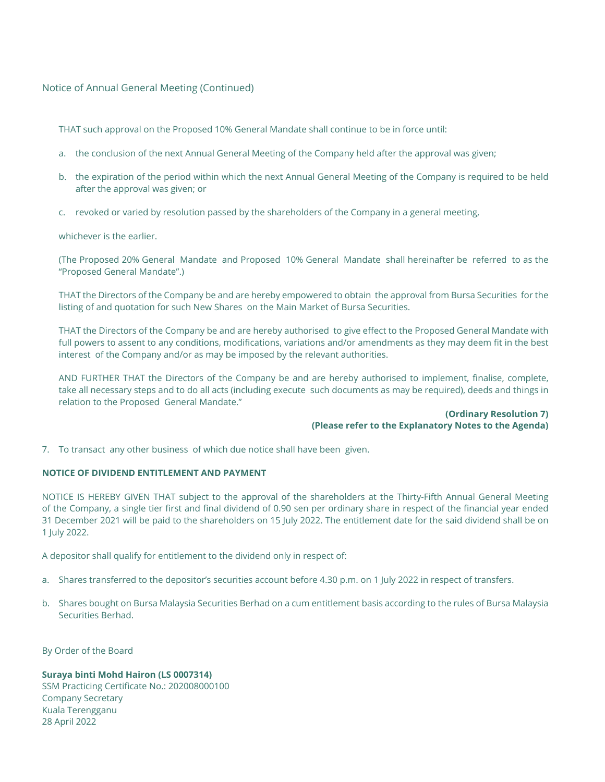Notice of Annual General Meeting (Continued)

THAT such approval on the Proposed 10% General Mandate shall continue to be in force until:

- a. the conclusion of the next Annual General Meeting of the Company held after the approval was given;
- b. the expiration of the period within which the next Annual General Meeting of the Company is required to be held after the approval was given; or
- c. revoked or varied by resolution passed by the shareholders of the Company in a general meeting,

whichever is the earlier.

(The Proposed 20% General Mandate and Proposed 10% General Mandate shall hereinafter be referred to as the "Proposed General Mandate".)

THAT the Directors of the Company be and are hereby empowered to obtain the approval from Bursa Securities for the listing of and quotation for such New Shares on the Main Market of Bursa Securities.

THAT the Directors of the Company be and are hereby authorised to give effect to the Proposed General Mandate with full powers to assent to any conditions, modifications, variations and/or amendments as they may deem fit in the best interest of the Company and/or as may be imposed by the relevant authorities.

AND FURTHER THAT the Directors of the Company be and are hereby authorised to implement, finalise, complete, take all necessary steps and to do all acts (including execute such documents as may be required), deeds and things in relation to the Proposed General Mandate."

#### **(Ordinary Resolution 7) (Please refer to the Explanatory Notes to the Agenda)**

7. To transact any other business of which due notice shall have been given.

# **NOTICE OF DIVIDEND ENTITLEMENT AND PAYMENT**

NOTICE IS HEREBY GIVEN THAT subject to the approval of the shareholders at the Thirty-Fifth Annual General Meeting of the Company, a single tier first and final dividend of 0.90 sen per ordinary share in respect of the financial year ended 31 December 2021 will be paid to the shareholders on 15 July 2022. The entitlement date for the said dividend shall be on 1 July 2022.

A depositor shall qualify for entitlement to the dividend only in respect of:

- a. Shares transferred to the depositor's securities account before 4.30 p.m. on 1 July 2022 in respect of transfers.
- b. Shares bought on Bursa Malaysia Securities Berhad on a cum entitlement basis according to the rules of Bursa Malaysia Securities Berhad.

By Order of the Board

**Suraya binti Mohd Hairon (LS 0007314)** SSM Practicing Certificate No.: 202008000100 Company Secretary Kuala Terengganu 28 April 2022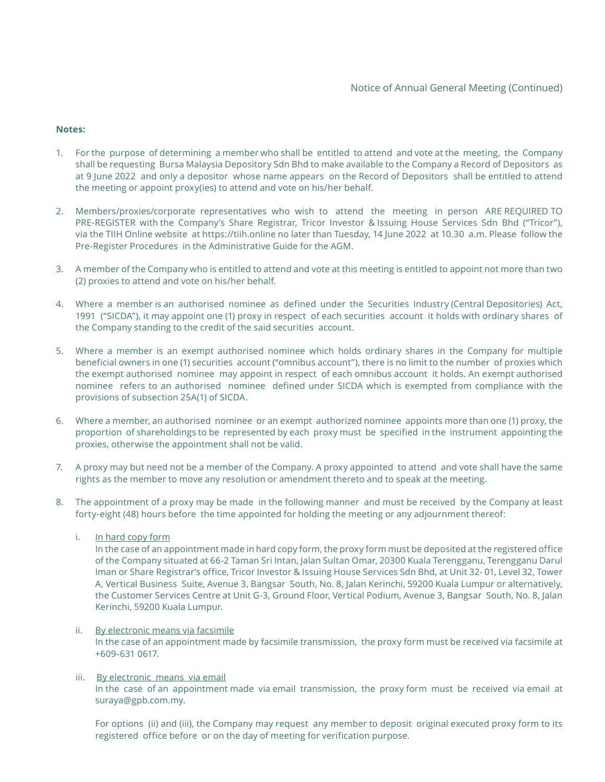### **Notes:**

- 1. For the purpose of determining a member who shall be entitled to attend and vote at the meeting, the Company shall be requesting Bursa Malaysia Depository Sdn Bhd to make available to the Company a Record of Depositors as at 9 June 2022 and only a depositor whose name appears on the Record of Depositors shall be entitled to attend the meeting or appoint proxy(ies) to attend and vote on his/her behalf.
- 2. Members/proxies/corporate representatives who wish to attend the meeting in person ARE REQUIRED TO PRE-REGISTER with the Company's Share Registrar, Tricor Investor & Issuing House Services Sdn Bhd ("Tricor"), via the TIIH Online website at https://tiih.online no later than Tuesday, 14 June 2022 at 10.30 a.m. Please follow the Pre-Register Procedures in the Administrative Guide for the AGM.
- 3. A member of the Company who is entitled to attend and vote at this meeting is entitled to appoint not more than two (2) proxies to attend and vote on his/her behalf.
- 4. Where a member is an authorised nominee as defined under the Securities Industry (Central Depositories) Act, 1991 ("SICDA"), it may appoint one (1) proxy in respect of each securities account it holds with ordinary shares of the Company standing to the credit of the said securities account.
- 5. Where a member is an exempt authorised nominee which holds ordinary shares in the Company for multiple beneficial owners in one (1) securities account ("omnibus account"), there is no limit to the number of proxies which the exempt authorised nominee may appoint in respect of each omnibus account it holds. An exempt authorised nominee refers to an authorised nominee defined under SICDA which is exempted from compliance with the provisions of subsection 25A(1) of SICDA.
- 6. Where a member, an authorised nominee or an exempt authorized nominee appoints more than one (1) proxy, the proportion of shareholdings to be represented by each proxy must be specified in the instrument appointing the proxies, otherwise the appointment shall not be valid.
- 7. A proxy may but need not be a member of the Company. A proxy appointed to attend and vote shall have the same rights as the member to move any resolution or amendment thereto and to speak at the meeting.
- 8. The appointment of a proxy may be made in the following manner and must be received by the Company at least forty-eight (48) hours before the time appointed for holding the meeting or any adjournment thereof:
	- i. In hard copy form

In the case of an appointment made in hard copy form, the proxy form must be deposited at the registered office of the Company situated at 66-2 Taman Sri Intan, Jalan Sultan Omar, 20300 Kuala Terengganu, Terengganu Darul Iman or Share Registrar's office, Tricor Investor & Issuing House Services Sdn Bhd, at Unit 32- 01, Level 32, Tower A, Vertical Business Suite, Avenue 3, Bangsar South, No. 8, Jalan Kerinchi, 59200 Kuala Lumpur or alternatively, the Customer Services Centre at Unit G-3, Ground Floor, Vertical Podium, Avenue 3, Bangsar South, No. 8, Jalan Kerinchi, 59200 Kuala Lumpur.

#### ii. By electronic means via facsimile

In the case of an appointment made by facsimile transmission, the proxy form must be received via facsimile at +609-631 0617.

#### iii. By electronic means via email

In the case of an appointment made via email transmission, the proxy form must be received via email at suraya@gpb.com.my.

For options (ii) and (iii), the Company may request any member to deposit original executed proxy form to its registered office before or on the day of meeting for verification purpose.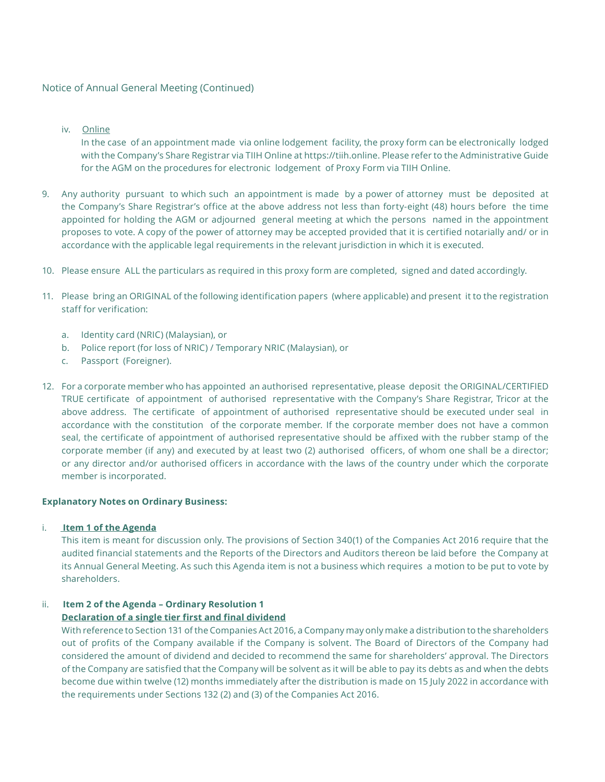### Notice of Annual General Meeting (Continued)

iv. Online

In the case of an appointment made via online lodgement facility, the proxy form can be electronically lodged with the Company's Share Registrar via TIIH Online at https://tiih.online. Please refer to the Administrative Guide for the AGM on the procedures for electronic lodgement of Proxy Form via TIIH Online.

- 9. Any authority pursuant to which such an appointment is made by a power of attorney must be deposited at the Company's Share Registrar's office at the above address not less than forty-eight (48) hours before the time appointed for holding the AGM or adjourned general meeting at which the persons named in the appointment proposes to vote. A copy of the power of attorney may be accepted provided that it is certified notarially and/ or in accordance with the applicable legal requirements in the relevant jurisdiction in which it is executed.
- 10. Please ensure ALL the particulars as required in this proxy form are completed, signed and dated accordingly.
- 11. Please bring an ORIGINAL of the following identification papers (where applicable) and present it to the registration staff for verification:
	- a. Identity card (NRIC) (Malaysian), or
	- b. Police report (for loss of NRIC) / Temporary NRIC (Malaysian), or
	- c. Passport (Foreigner).
- 12. For a corporate member who has appointed an authorised representative, please deposit the ORIGINAL/CERTIFIED TRUE certificate of appointment of authorised representative with the Company's Share Registrar, Tricor at the above address. The certificate of appointment of authorised representative should be executed under seal in accordance with the constitution of the corporate member. If the corporate member does not have a common seal, the certificate of appointment of authorised representative should be affixed with the rubber stamp of the corporate member (if any) and executed by at least two (2) authorised officers, of whom one shall be a director; or any director and/or authorised officers in accordance with the laws of the country under which the corporate member is incorporated.

#### **Explanatory Notes on Ordinary Business:**

i. **Item 1 of the Agenda**

This item is meant for discussion only. The provisions of Section 340(1) of the Companies Act 2016 require that the audited financial statements and the Reports of the Directors and Auditors thereon be laid before the Company at its Annual General Meeting. As such this Agenda item is not a business which requires a motion to be put to vote by shareholders.

# ii. **Item 2 of the Agenda – Ordinary Resolution 1**

# **Declaration of a single tier first and final dividend**

With reference to Section 131 of the Companies Act 2016, a Company may only make a distribution to the shareholders out of profits of the Company available if the Company is solvent. The Board of Directors of the Company had considered the amount of dividend and decided to recommend the same for shareholders' approval. The Directors of the Company are satisfied that the Company will be solvent as it will be able to pay its debts as and when the debts become due within twelve (12) months immediately after the distribution is made on 15 July 2022 in accordance with the requirements under Sections 132 (2) and (3) of the Companies Act 2016.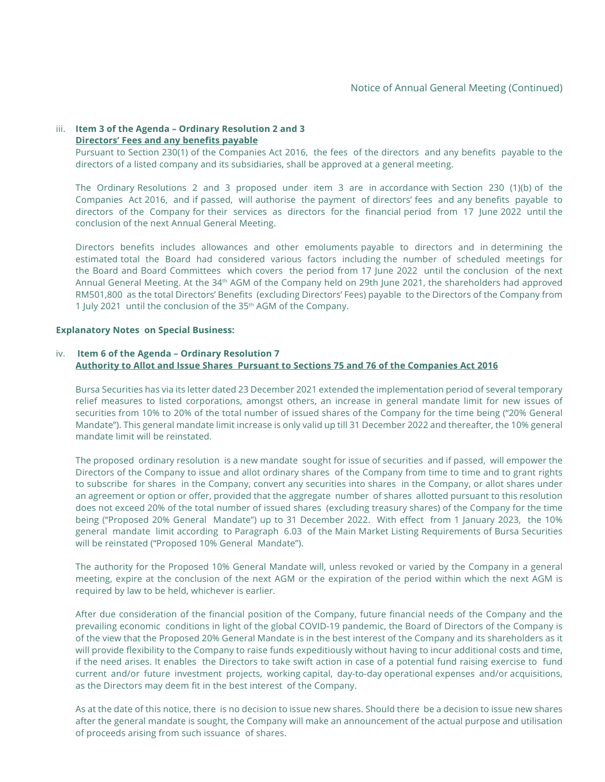#### iii. **Item 3 of the Agenda – Ordinary Resolution 2 and 3 Directors' Fees and any benefits payable**

Pursuant to Section 230(1) of the Companies Act 2016, the fees of the directors and any benefits payable to the directors of a listed company and its subsidiaries, shall be approved at a general meeting.

The Ordinary Resolutions 2 and 3 proposed under item 3 are in accordance with Section 230 (1)(b) of the Companies Act 2016, and if passed, will authorise the payment of directors' fees and any benefits payable to directors of the Company for their services as directors for the financial period from 17 June 2022 until the conclusion of the next Annual General Meeting.

Directors benefits includes allowances and other emoluments payable to directors and in determining the estimated total the Board had considered various factors including the number of scheduled meetings for the Board and Board Committees which covers the period from 17 June 2022 until the conclusion of the next Annual General Meeting. At the 34th AGM of the Company held on 29th June 2021, the shareholders had approved RM501,800 as the total Directors' Benefits (excluding Directors' Fees) payable to the Directors of the Company from 1 July 2021 until the conclusion of the 35th AGM of the Company.

#### **Explanatory Notes on Special Business:**

#### iv. **Item 6 of the Agenda – Ordinary Resolution 7 Authority to Allot and Issue Shares Pursuant to Sections 75 and 76 of the Companies Act 2016**

Bursa Securities has via its letter dated 23 December 2021 extended the implementation period of several temporary relief measures to listed corporations, amongst others, an increase in general mandate limit for new issues of securities from 10% to 20% of the total number of issued shares of the Company for the time being ("20% General Mandate"). This general mandate limit increase is only valid up till 31 December 2022 and thereafter, the 10% general mandate limit will be reinstated.

The proposed ordinary resolution is a new mandate sought for issue of securities and if passed, will empower the Directors of the Company to issue and allot ordinary shares of the Company from time to time and to grant rights to subscribe for shares in the Company, convert any securities into shares in the Company, or allot shares under an agreement or option or offer, provided that the aggregate number of shares allotted pursuant to this resolution does not exceed 20% of the total number of issued shares (excluding treasury shares) of the Company for the time being ("Proposed 20% General Mandate") up to 31 December 2022. With effect from 1 January 2023, the 10% general mandate limit according to Paragraph 6.03 of the Main Market Listing Requirements of Bursa Securities will be reinstated ("Proposed 10% General Mandate").

The authority for the Proposed 10% General Mandate will, unless revoked or varied by the Company in a general meeting, expire at the conclusion of the next AGM or the expiration of the period within which the next AGM is required by law to be held, whichever is earlier.

After due consideration of the financial position of the Company, future financial needs of the Company and the prevailing economic conditions in light of the global COVID-19 pandemic, the Board of Directors of the Company is of the view that the Proposed 20% General Mandate is in the best interest of the Company and its shareholders as it will provide flexibility to the Company to raise funds expeditiously without having to incur additional costs and time, if the need arises. It enables the Directors to take swift action in case of a potential fund raising exercise to fund current and/or future investment projects, working capital, day-to-day operational expenses and/or acquisitions, as the Directors may deem fit in the best interest of the Company.

As at the date of this notice, there is no decision to issue new shares. Should there be a decision to issue new shares after the general mandate is sought, the Company will make an announcement of the actual purpose and utilisation of proceeds arising from such issuance of shares.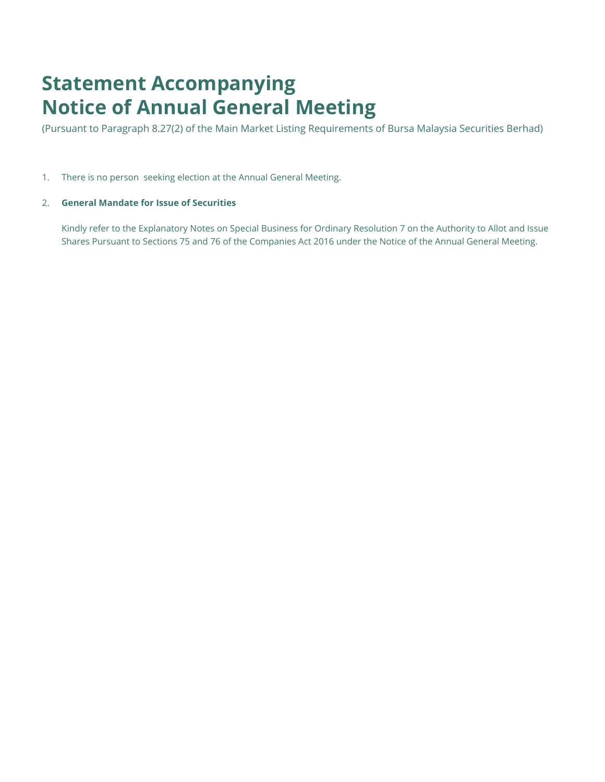# **Statement Accompanying Notice of Annual General Meeting**

(Pursuant to Paragraph 8.27(2) of the Main Market Listing Requirements of Bursa Malaysia Securities Berhad)

1. There is no person seeking election at the Annual General Meeting.

# 2. **General Mandate for Issue of Securities**

Kindly refer to the Explanatory Notes on Special Business for Ordinary Resolution 7 on the Authority to Allot and Issue Shares Pursuant to Sections 75 and 76 of the Companies Act 2016 under the Notice of the Annual General Meeting.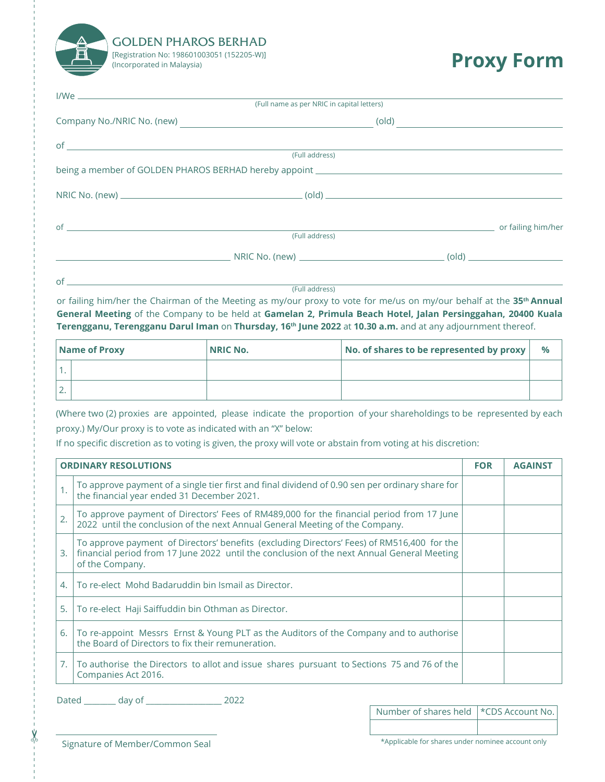

# **Proxy Form**

|                               | (Full name as per NRIC in capital letters) |
|-------------------------------|--------------------------------------------|
|                               | $\left( \text{old} \right)$                |
| of $\overline{\phantom{a}}$   |                                            |
|                               | (Full address)                             |
|                               |                                            |
|                               |                                            |
| $of$ $\overline{\phantom{a}}$ | or failing him/her                         |
|                               | (Full address)                             |
|                               |                                            |
|                               |                                            |

(Full address)

or failing him/her the Chairman of the Meeting as my/our proxy to vote for me/us on my/our behalf at the **35th Annual General Meeting** of the Company to be held at **Gamelan 2, Primula Beach Hotel, Jalan Persinggahan, 20400 Kuala Terengganu, Terengganu Darul Iman** on **Thursday, 16th June 2022** at **10.30 a.m.** and at any adjournment thereof.

| Name of Proxy |  | <b>NRIC No.</b> | No. of shares to be represented by proxy |  |
|---------------|--|-----------------|------------------------------------------|--|
|               |  |                 |                                          |  |
|               |  |                 |                                          |  |

(Where two (2) proxies are appointed, please indicate the proportion of your shareholdings to be represented by each proxy.) My/Our proxy is to vote as indicated with an "X" below:

If no specific discretion as to voting is given, the proxy will vote or abstain from voting at his discretion:

| <b>ORDINARY RESOLUTIONS</b> |                                                                                                                                                                                                             | <b>FOR</b> | <b>AGAINST</b> |
|-----------------------------|-------------------------------------------------------------------------------------------------------------------------------------------------------------------------------------------------------------|------------|----------------|
|                             | To approve payment of a single tier first and final dividend of 0.90 sen per ordinary share for<br>the financial year ended 31 December 2021.                                                               |            |                |
| $\overline{2}$ .            | To approve payment of Directors' Fees of RM489,000 for the financial period from 17 June<br>2022 until the conclusion of the next Annual General Meeting of the Company.                                    |            |                |
| 3.                          | To approve payment of Directors' benefits (excluding Directors' Fees) of RM516,400 for the<br>financial period from 17 June 2022 until the conclusion of the next Annual General Meeting<br>of the Company. |            |                |
| 4.                          | To re-elect Mohd Badaruddin bin Ismail as Director.                                                                                                                                                         |            |                |
| 5.                          | To re-elect Haji Saiffuddin bin Othman as Director.                                                                                                                                                         |            |                |
| 6.                          | To re-appoint Messrs Ernst & Young PLT as the Auditors of the Company and to authorise<br>the Board of Directors to fix their remuneration.                                                                 |            |                |
|                             | To authorise the Directors to allot and issue shares pursuant to Sections 75 and 76 of the<br>Companies Act 2016.                                                                                           |            |                |

Dated day of 2022

| Number of shares held   *CDS Account No. |  |
|------------------------------------------|--|
|                                          |  |

✂

Signature of Member/Common Seal **the system of the sealure of Member/Common Seal** the state of the state of the state of the state of the state of the state of the state of the state of the state of the state of the state